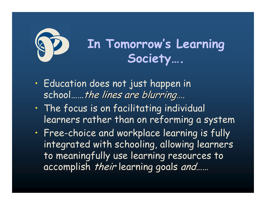

- $\bullet$  $\cdot$  Education does not just happen in school……*the lines are blurring….*
- • The focus is on facilitating individual learners rather than on reforming a system
- • $\cdot$  Free-choice and workplace learning is fully  $\cdot$ integrated with schooling, allowing learners to meaningfully use learning resources to accomplish their learning goals and……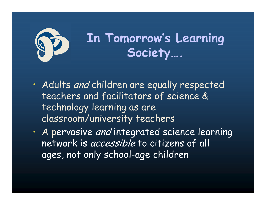

- •• Adults *and* children are equally respected teachers and facilitators of science & technology learning as are classroom/university teachers
- •• A pervasive and integrated science learning network is accessible to citizens of all ages, not only school-age children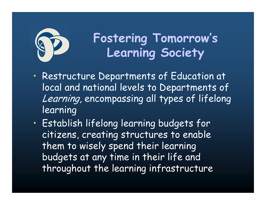

## **Fostering Tomorrow's Learning Society**

- $\bullet$  Restructure Departments of Education at local and national levels to Departments of Learning, encompassing all types of lifelong learning
- • Establish lifelong learning budgets for citizens, creating structures to enable them to wisely spend their learning budgets at any time in their life and throughout the learning infrastructure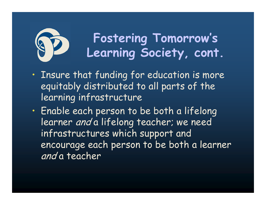

**Fostering Tomorrow's Learning Society, cont.**

- $\bullet$  $\cdot$  Insure that funding for education is more equitably distributed to all parts of the learning infrastructure
- $\bullet$  $\cdot$  Enable each person to be both a lifelong learner and a lifelong teacher; we need infrastructures which support and encourage each person to be both a learner and a teacher